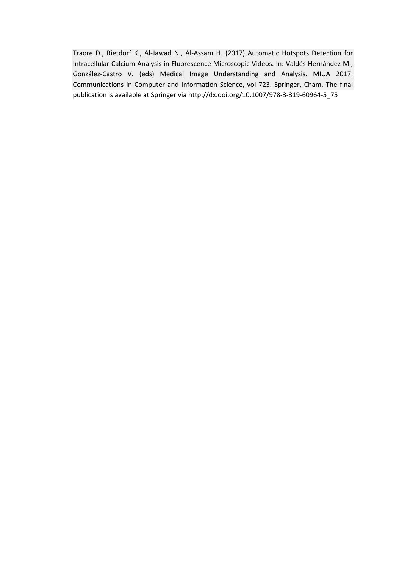Traore D., Rietdorf K., Al-Jawad N., Al-Assam H. (2017) Automatic Hotspots Detection for Intracellular Calcium Analysis in Fluorescence Microscopic Videos. In: Valdés Hernández M., González-Castro V. (eds) Medical Image Understanding and Analysis. MIUA 2017. Communications in Computer and Information Science, vol 723. Springer, Cham. The final publication is available at Springer via http://dx.doi.org/10.1007/978-3-319-60964-5\_75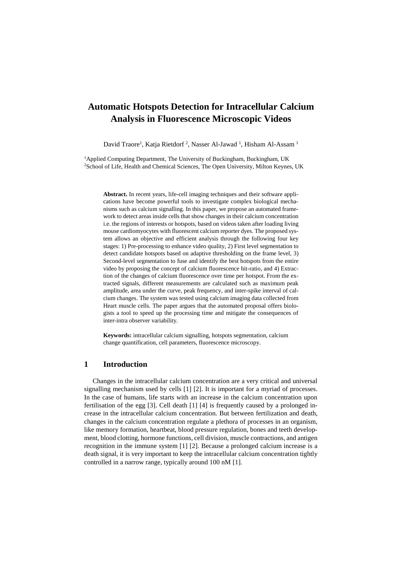# **Automatic Hotspots Detection for Intracellular Calcium Analysis in Fluorescence Microscopic Videos**

David Traore<sup>1</sup>, Katja Rietdorf<sup>2</sup>, Nasser Al-Jawad<sup>1</sup>, Hisham Al-Assam<sup>1</sup>

<sup>1</sup>Applied Computing Department, The University of Buckingham, Buckingham, UK <sup>2</sup>School of Life, Health and Chemical Sciences, The Open University, Milton Keynes, UK

**Abstract.** In recent years, life-cell imaging techniques and their software applications have become powerful tools to investigate complex biological mechanisms such as calcium signalling. In this paper, we propose an automated framework to detect areas inside cells that show changes in their calcium concentration i.e. the regions of interests or hotspots, based on videos taken after loading living mouse cardiomyocytes with fluorescent calcium reporter dyes. The proposed system allows an objective and efficient analysis through the following four key stages: 1) Pre-processing to enhance video quality, 2) First level segmentation to detect candidate hotspots based on adaptive thresholding on the frame level, 3) Second-level segmentation to fuse and identify the best hotspots from the entire video by proposing the concept of calcium fluorescence hit-ratio, and 4) Extraction of the changes of calcium fluorescence over time per hotspot. From the extracted signals, different measurements are calculated such as maximum peak amplitude, area under the curve, peak frequency, and inter-spike interval of calcium changes. The system was tested using calcium imaging data collected from Heart muscle cells. The paper argues that the automated proposal offers biologists a tool to speed up the processing time and mitigate the consequences of inter-intra observer variability.

**Keywords:** intracellular calcium signalling, hotspots segmentation, calcium change quantification, cell parameters, fluorescence microscopy.

### **1 Introduction**

 Changes in the intracellular calcium concentration are a very critical and universal signalling mechanism used by cells [1] [2]. It is important for a myriad of processes. In the case of humans, life starts with an increase in the calcium concentration upon fertilisation of the egg [3]. Cell death [1] [4] is frequently caused by a prolonged increase in the intracellular calcium concentration. But between fertilization and death, changes in the calcium concentration regulate a plethora of processes in an organism, like memory formation, heartbeat, blood pressure regulation, bones and teeth development, blood clotting, hormone functions, cell division, muscle contractions, and antigen recognition in the immune system [1] [2]. Because a prolonged calcium increase is a death signal, it is very important to keep the intracellular calcium concentration tightly controlled in a narrow range, typically around 100 nM [1].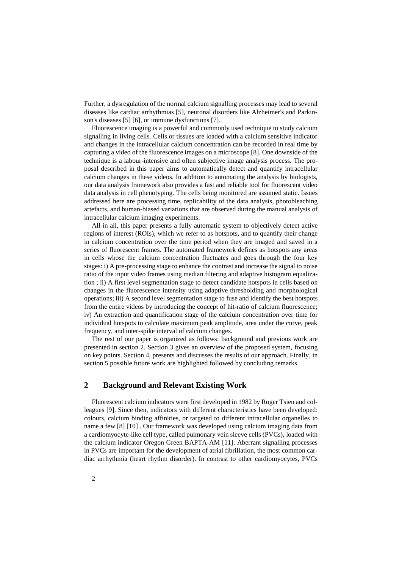Further, a dysregulation of the normal calcium signalling processes may lead to several diseases like cardiac arrhythmias [5], neuronal disorders like Alzheimer's and Parkinson's diseases [5] [6], or immune dysfunctions [7].

Fluorescence imaging is a powerful and commonly used technique to study calcium signalling in living cells. Cells or tissues are loaded with a calcium sensitive indicator and changes in the intracellular calcium concentration can be recorded in real time by capturing a video of the fluorescence images on a microscope [8]. One downside of the technique is a labour-intensive and often subjective image analysis process. The proposal described in this paper aims to automatically detect and quantify intracellular calcium changes in these videos. In addition to automating the analysis by biologists, our data analysis framework also provides a fast and reliable tool for fluorescent video data analysis in cell phenotyping. The cells being monitored are assumed static. Issues addressed here are processing time, replicability of the data analysis, photobleaching artefacts, and human-biased variations that are observed during the manual analysis of intracellular calcium imaging experiments.

All in all, this paper presents a fully automatic system to objectively detect active regions of interest (ROIs), which we refer to as hotspots, and to quantify their change in calcium concentration over the time period when they are imaged and saved in a series of fluorescent frames. The automated framework defines as hotspots any areas in cells whose the calcium concentration fluctuates and goes through the four key stages: i) A pre-processing stage to enhance the contrast and increase the signal to noise ratio of the input video frames using median filtering and adaptive histogram equalization ; ii) A first level segmentation stage to detect candidate hotspots in cells based on changes in the fluorescence intensity using adaptive thresholding and morphological operations; iii) A second level segmentation stage to fuse and identify the best hotspots from the entire videos by introducing the concept of hit-ratio of calcium fluorescence; iv) An extraction and quantification stage of the calcium concentration over time for individual hotspots to calculate maximum peak amplitude, area under the curve, peak frequency, and inter-spike interval of calcium changes.

The rest of our paper is organized as follows: background and previous work are presented in section 2. Section 3 gives an overview of the proposed system, focusing on key points. Section 4, presents and discusses the results of our approach. Finally, in section 5 possible future work are highlighted followed by concluding remarks.

# **2 Background and Relevant Existing Work**

Fluorescent calcium indicators were first developed in 1982 by Roger Tsien and colleagues [9]. Since then, indicators with different characteristics have been developed: colours, calcium binding affinities, or targeted to different intracellular organelles to name a few [8] [10] . Our framework was developed using calcium imaging data from a cardiomyocyte-like cell type, called pulmonary vein sleeve cells (PVCs), loaded with the calcium indicator Oregon Green BAPTA-AM [11]. Aberrant signalling processes in PVCs are important for the development of atrial fibrillation, the most common cardiac arrhythmia (heart rhythm disorder). In contrast to other cardiomyocytes, PVCs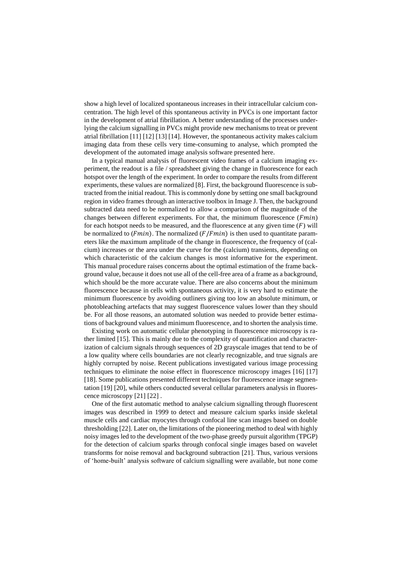show a high level of localized spontaneous increases in their intracellular calcium concentration. The high level of this spontaneous activity in PVCs is one important factor in the development of atrial fibrillation. A better understanding of the processes underlying the calcium signalling in PVCs might provide new mechanisms to treat or prevent atrial fibrillation [11] [12] [13] [14]. However, the spontaneous activity makes calcium imaging data from these cells very time-consuming to analyse, which prompted the development of the automated image analysis software presented here.

In a typical manual analysis of fluorescent video frames of a calcium imaging experiment, the readout is a file / spreadsheet giving the change in fluorescence for each hotspot over the length of the experiment. In order to compare the results from different experiments, these values are normalized [8]. First, the background fluorescence is subtracted from the initial readout. This is commonly done by setting one small background region in video frames through an interactive toolbox in Image J. Then, the background subtracted data need to be normalized to allow a comparison of the magnitude of the changes between different experiments. For that, the minimum fluorescence  $(Fmin)$ for each hotspot needs to be measured, and the fluorescence at any given time  $(F)$  will be normalized to ( $Fmin$ ). The normalized ( $F/Fmin$ ) is then used to quantitate parameters like the maximum amplitude of the change in fluorescence, the frequency of (calcium) increases or the area under the curve for the (calcium) transients, depending on which characteristic of the calcium changes is most informative for the experiment. This manual procedure raises concerns about the optimal estimation of the frame background value, because it does not use all of the cell-free area of a frame as a background, which should be the more accurate value. There are also concerns about the minimum fluorescence because in cells with spontaneous activity, it is very hard to estimate the minimum fluorescence by avoiding outliners giving too low an absolute minimum, or photobleaching artefacts that may suggest fluorescence values lower than they should be. For all those reasons, an automated solution was needed to provide better estimations of background values and minimum fluorescence, and to shorten the analysis time.

Existing work on automatic cellular phenotyping in fluorescence microscopy is rather limited [15]. This is mainly due to the complexity of quantification and characterization of calcium signals through sequences of 2D grayscale images that tend to be of a low quality where cells boundaries are not clearly recognizable, and true signals are highly corrupted by noise. Recent publications investigated various image processing techniques to eliminate the noise effect in fluorescence microscopy images [16] [17] [18]. Some publications presented different techniques for fluorescence image segmentation [19] [20], while others conducted several cellular parameters analysis in fluorescence microscopy [21] [22] .

One of the first automatic method to analyse calcium signalling through fluorescent images was described in 1999 to detect and measure calcium sparks inside skeletal muscle cells and cardiac myocytes through confocal line scan images based on double thresholding [22]. Later on, the limitations of the pioneering method to deal with highly noisy images led to the development of the two-phase greedy pursuit algorithm (TPGP) for the detection of calcium sparks through confocal single images based on wavelet transforms for noise removal and background subtraction [21]. Thus, various versions of 'home-built' analysis software of calcium signalling were available, but none come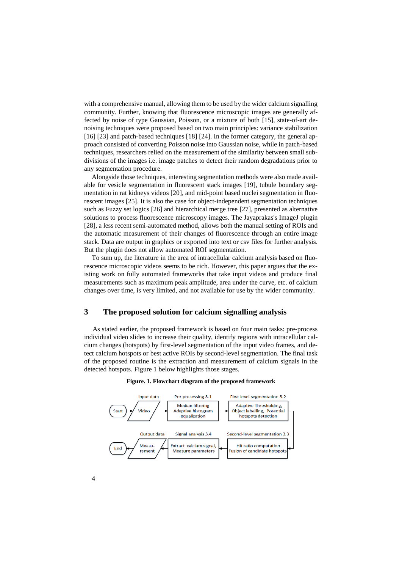with a comprehensive manual, allowing them to be used by the wider calcium signalling community. Further, knowing that fluorescence microscopic images are generally affected by noise of type Gaussian, Poisson, or a mixture of both [15], state-of-art denoising techniques were proposed based on two main principles: variance stabilization [16] [23] and patch-based techniques [18] [24]. In the former category, the general approach consisted of converting Poisson noise into Gaussian noise, while in patch-based techniques, researchers relied on the measurement of the similarity between small subdivisions of the images i.e. image patches to detect their random degradations prior to any segmentation procedure.

Alongside those techniques, interesting segmentation methods were also made available for vesicle segmentation in fluorescent stack images [19], tubule boundary segmentation in rat kidneys videos [20], and mid-point based nuclei segmentation in fluorescent images [25]. It is also the case for object-independent segmentation techniques such as Fuzzy set logics [26] and hierarchical merge tree [27], presented as alternative solutions to process fluorescence microscopy images. The Jayaprakas's ImageJ plugin [28], a less recent semi-automated method, allows both the manual setting of ROIs and the automatic measurement of their changes of fluorescence through an entire image stack. Data are output in graphics or exported into text or csv files for further analysis. But the plugin does not allow automated ROI segmentation.

To sum up, the literature in the area of intracellular calcium analysis based on fluorescence microscopic videos seems to be rich. However, this paper argues that the existing work on fully automated frameworks that take input videos and produce final measurements such as maximum peak amplitude, area under the curve, etc. of calcium changes over time, is very limited, and not available for use by the wider community.

### **3 The proposed solution for calcium signalling analysis**

 As stated earlier, the proposed framework is based on four main tasks: pre-process individual video slides to increase their quality, identify regions with intracellular calcium changes (hotspots) by first-level segmentation of the input video frames, and detect calcium hotspots or best active ROIs by second-level segmentation. The final task of the proposed routine is the extraction and measurement of calcium signals in the detected hotspots. Figure 1 below highlights those stages.



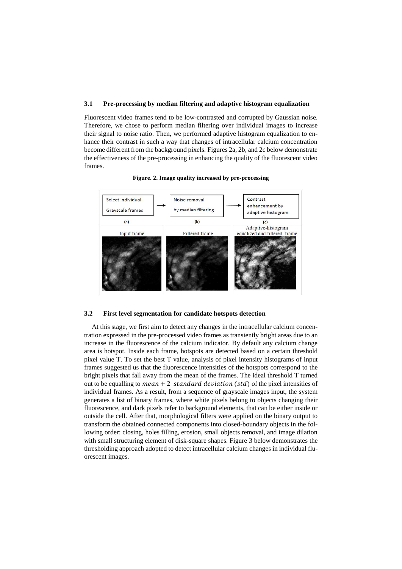### **3.1 Pre-processing by median filtering and adaptive histogram equalization**

Fluorescent video frames tend to be low-contrasted and corrupted by Gaussian noise. Therefore, we chose to perform median filtering over individual images to increase their signal to noise ratio. Then, we performed adaptive histogram equalization to enhance their contrast in such a way that changes of intracellular calcium concentration become different from the background pixels. Figures 2a, 2b, and 2c below demonstrate the effectiveness of the pre-processing in enhancing the quality of the fluorescent video frames.



**Figure. 2. Image quality increased by pre-processing**

#### **3.2 First level segmentation for candidate hotspots detection**

At this stage, we first aim to detect any changes in the intracellular calcium concentration expressed in the pre-processed video frames as transiently bright areas due to an increase in the fluorescence of the calcium indicator. By default any calcium change area is hotspot. Inside each frame, hotspots are detected based on a certain threshold pixel value T. To set the best T value, analysis of pixel intensity histograms of input frames suggested us that the fluorescence intensities of the hotspots correspond to the bright pixels that fall away from the mean of the frames. The ideal threshold T turned out to be equalling to mean  $+2$  standard deviation (std) of the pixel intensities of individual frames. As a result, from a sequence of grayscale images input, the system generates a list of binary frames, where white pixels belong to objects changing their fluorescence, and dark pixels refer to background elements, that can be either inside or outside the cell. After that, morphological filters were applied on the binary output to transform the obtained connected components into closed-boundary objects in the following order: closing, holes filling, erosion, small objects removal, and image dilation with small structuring element of disk-square shapes. Figure 3 below demonstrates the thresholding approach adopted to detect intracellular calcium changes in individual fluorescent images.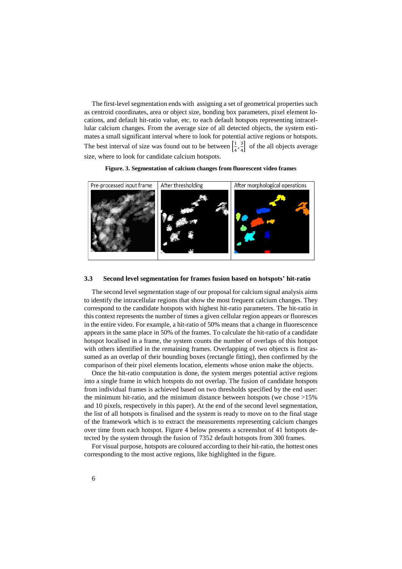The first-level segmentation ends with assigning a set of geometrical properties such as centroid coordinates, area or object size, bonding box parameters, pixel element locations, and default hit-ratio value, etc. to each default hotspots representing intracellular calcium changes. From the average size of all detected objects, the system estimates a small significant interval where to look for potential active regions or hotspots. The best interval of size was found out to be between  $\left[\frac{1}{2}\right]$  $\frac{1}{4}$ ,  $\frac{3}{4}$  $\frac{3}{4}$  of the all objects average size, where to look for candidate calcium hotspots.

#### **Figure. 3. Segmentation of calcium changes from fluorescent video frames**



#### **3.3 Second level segmentation for frames fusion based on hotspots' hit-ratio**

The second level segmentation stage of our proposal for calcium signal analysis aims to identify the intracellular regions that show the most frequent calcium changes. They correspond to the candidate hotspots with highest hit-ratio parameters. The hit-ratio in this context represents the number of times a given cellular region appears or fluoresces in the entire video. For example, a hit-ratio of 50% means that a change in fluorescence appears in the same place in 50% of the frames. To calculate the hit-ratio of a candidate hotspot localised in a frame, the system counts the number of overlaps of this hotspot with others identified in the remaining frames. Overlapping of two objects is first assumed as an overlap of their bounding boxes (rectangle fitting), then confirmed by the comparison of their pixel elements location, elements whose union make the objects.

Once the hit-ratio computation is done, the system merges potential active regions into a single frame in which hotspots do not overlap. The fusion of candidate hotspots from individual frames is achieved based on two thresholds specified by the end user: the minimum hit-ratio, and the minimum distance between hotspots (we chose >15% and 10 pixels, respectively in this paper). At the end of the second level segmentation, the list of all hotspots is finalised and the system is ready to move on to the final stage of the framework which is to extract the measurements representing calcium changes over time from each hotspot. Figure 4 below presents a screenshot of 41 hotspots detected by the system through the fusion of 7352 default hotspots from 300 frames.

For visual purpose, hotspots are coloured according to their hit-ratio, the hottest ones corresponding to the most active regions, like highlighted in the figure.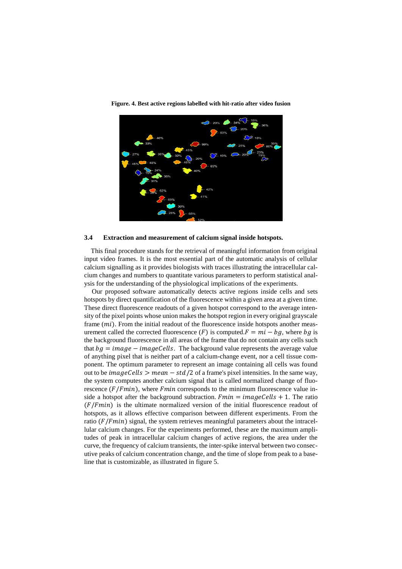

**Figure. 4. Best active regions labelled with hit-ratio after video fusion**

#### **3.4 Extraction and measurement of calcium signal inside hotspots.**

 This final procedure stands for the retrieval of meaningful information from original input video frames. It is the most essential part of the automatic analysis of cellular calcium signalling as it provides biologists with traces illustrating the intracellular calcium changes and numbers to quantitate various parameters to perform statistical analysis for the understanding of the physiological implications of the experiments.

Our proposed software automatically detects active regions inside cells and sets hotspots by direct quantification of the fluorescence within a given area at a given time. These direct fluorescence readouts of a given hotspot correspond to the average intensity of the pixel points whose union makes the hotspot region in every original grayscale frame  $(mi)$ . From the initial readout of the fluorescence inside hotspots another measurement called the corrected fluorescence  $(F)$  is computed.  $F = mi - bg$ , where  $bg$  is the background fluorescence in all areas of the frame that do not contain any cells such that  $bg = image - imageCells$ . The background value represents the average value of anything pixel that is neither part of a calcium-change event, nor a cell tissue component. The optimum parameter to represent an image containing all cells was found out to be *imageCells* > *mean*  $-$  *std* /2 of a frame's pixel intensities. In the same way, the system computes another calcium signal that is called normalized change of fluorescence  $(F/Fmin)$ , where *Fmin* corresponds to the minimum fluorescence value inside a hotspot after the background subtraction.  $Fmin = imageCells + 1$ . The ratio  $(F/Fmin)$  is the ultimate normalized version of the initial fluorescence readout of hotspots, as it allows effective comparison between different experiments. From the ratio ( $F/Fmin$ ) signal, the system retrieves meaningful parameters about the intracellular calcium changes. For the experiments performed, these are the maximum amplitudes of peak in intracellular calcium changes of active regions, the area under the curve, the frequency of calcium transients, the inter-spike interval between two consecutive peaks of calcium concentration change, and the time of slope from peak to a baseline that is customizable, as illustrated in figure 5.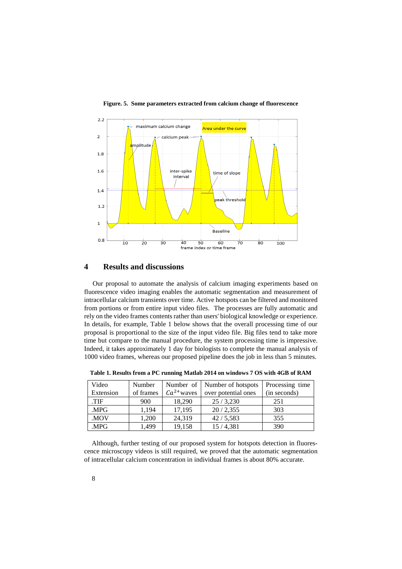

**Figure. 5. Some parameters extracted from calcium change of fluorescence**

## **4 Results and discussions**

 Our proposal to automate the analysis of calcium imaging experiments based on fluorescence video imaging enables the automatic segmentation and measurement of intracellular calcium transients over time. Active hotspots can be filtered and monitored from portions or from entire input video files. The processes are fully automatic and rely on the video frames contents rather than users' biological knowledge or experience. In details, for example, Table 1 below shows that the overall processing time of our proposal is proportional to the size of the input video file. Big files tend to take more time but compare to the manual procedure, the system processing time is impressive. Indeed, it takes approximately 1 day for biologists to complete the manual analysis of 1000 video frames, whereas our proposed pipeline does the job in less than 5 minutes.

| Video     | Number    |                 | Number of Number of hotspots | Processing time |
|-----------|-----------|-----------------|------------------------------|-----------------|
| Extension | of frames | $Ca^{2+}$ waves | over potential ones          | (in seconds)    |
| .TIF      | 900       | 18,290          | 25/3,230                     | 251             |
| .MPG      | 1.194     | 17,195          | 20/2,355                     | 303             |
| .MOV      | 1,200     | 24,319          | 42/5,583                     | 355             |
| .MPG      | 1,499     | 19,158          | 15/4,381                     | 390             |

**Table 1. Results from a PC running Matlab 2014 on windows 7 OS with 4GB of RAM**

Although, further testing of our proposed system for hotspots detection in fluorescence microscopy videos is still required, we proved that the automatic segmentation of intracellular calcium concentration in individual frames is about 80% accurate.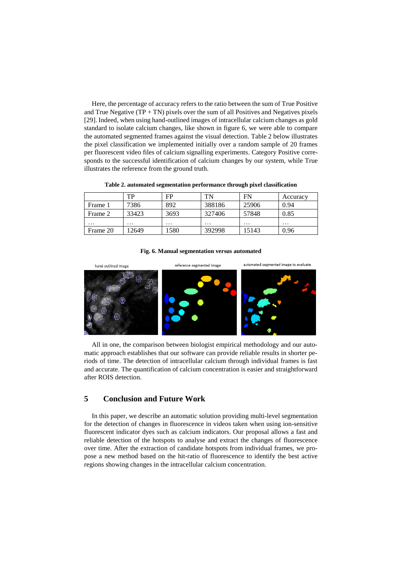Here, the percentage of accuracy refers to the ratio between the sum of True Positive and True Negative  $(TP + TN)$  pixels over the sum of all Positives and Negatives pixels [29]. Indeed, when using hand-outlined images of intracellular calcium changes as gold standard to isolate calcium changes, like shown in figure 6, we were able to compare the automated segmented frames against the visual detection. Table 2 below illustrates the pixel classification we implemented initially over a random sample of 20 frames per fluorescent video files of calcium signalling experiments. Category Positive corresponds to the successful identification of calcium changes by our system, while True illustrates the reference from the ground truth.

**Table 2. automated segmentation performance through pixel classification** 

|          | TP       | FP       | TN       | <b>FN</b> | Accuracy |
|----------|----------|----------|----------|-----------|----------|
| Frame 1  | 7386     | 892      | 388186   | 25906     | 0.94     |
| Frame 2  | 33423    | 3693     | 327406   | 57848     | 0.85     |
| $\cdots$ | $\cdots$ | $\cdots$ | $\cdots$ | $\cdots$  | $\cdots$ |
| Frame 20 | 2649     | 1580     | 392998   | 15143     | 0.96     |

#### **Fig. 6. Manual segmentation versus automated**



All in one, the comparison between biologist empirical methodology and our automatic approach establishes that our software can provide reliable results in shorter periods of time. The detection of intracellular calcium through individual frames is fast and accurate. The quantification of calcium concentration is easier and straightforward after ROIS detection.

# **5 Conclusion and Future Work**

In this paper, we describe an automatic solution providing multi-level segmentation for the detection of changes in fluorescence in videos taken when using ion-sensitive fluorescent indicator dyes such as calcium indicators. Our proposal allows a fast and reliable detection of the hotspots to analyse and extract the changes of fluorescence over time. After the extraction of candidate hotspots from individual frames, we propose a new method based on the hit-ratio of fluorescence to identify the best active regions showing changes in the intracellular calcium concentration.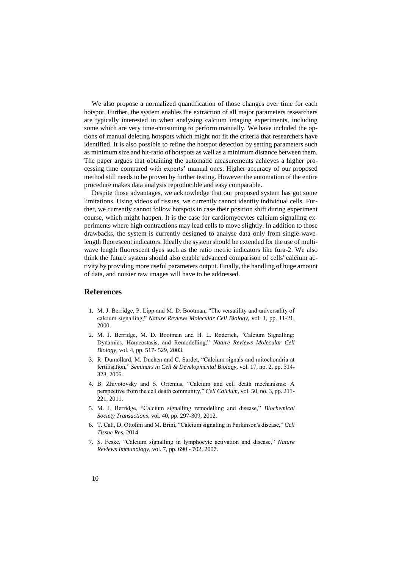We also propose a normalized quantification of those changes over time for each hotspot. Further, the system enables the extraction of all major parameters researchers are typically interested in when analysing calcium imaging experiments, including some which are very time-consuming to perform manually. We have included the options of manual deleting hotspots which might not fit the criteria that researchers have identified. It is also possible to refine the hotspot detection by setting parameters such as minimum size and hit-ratio of hotspots as well as a minimum distance between them. The paper argues that obtaining the automatic measurements achieves a higher processing time compared with experts' manual ones. Higher accuracy of our proposed method still needs to be proven by further testing. However the automation of the entire procedure makes data analysis reproducible and easy comparable.

Despite those advantages, we acknowledge that our proposed system has got some limitations. Using videos of tissues, we currently cannot identity individual cells. Further, we currently cannot follow hotspots in case their position shift during experiment course, which might happen. It is the case for cardiomyocytes calcium signalling experiments where high contractions may lead cells to move slightly. In addition to those drawbacks, the system is currently designed to analyse data only from single-wavelength fluorescent indicators. Ideally the system should be extended for the use of multiwave length fluorescent dyes such as the ratio metric indicators like fura-2. We also think the future system should also enable advanced comparison of cells' calcium activity by providing more useful parameters output. Finally, the handling of huge amount of data, and noisier raw images will have to be addressed.

### **References**

- 1. M. J. Berridge, P. Lipp and M. D. Bootman, "The versatility and universality of calcium signalling," *Nature Reviews Molecular Cell Biology,* vol. 1, pp. 11-21, 2000.
- 2. M. J. Berridge, M. D. Bootman and H. L. Roderick, "Calcium Signalling: Dynamics, Homeostasis, and Remodelling," *Nature Reviews Molecular Cell Biology,* vol. 4, pp. 517- 529, 2003.
- 3. R. Dumollard, M. Duchen and C. Sardet, "Calcium signals and mitochondria at fertilisation," *Seminars in Cell & Developmental Biology,* vol. 17, no. 2, pp. 314- 323, 2006.
- 4. B. Zhivotovsky and S. Orrenius, "Calcium and cell death mechanisms: A perspective from the cell death community," *Cell Calcium,* vol. 50, no. 3, pp. 211- 221, 2011.
- 5. M. J. Berridge, "Calcium signalling remodelling and disease," *Biochemical Society Transactions,* vol. 40, pp. 297-309, 2012.
- 6. T. Cali, D. Ottolini and M. Brini, "Calcium signaling in Parkinson's disease," *Cell Tissue Res,* 2014.
- 7. S. Feske, "Calcium signalling in lymphocyte activation and disease," *Nature Reviews Immunology,* vol. 7, pp. 690 - 702, 2007.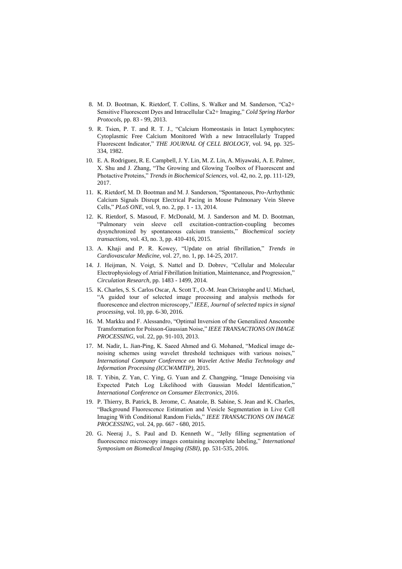- 8. M. D. Bootman, K. Rietdorf, T. Collins, S. Walker and M. Sanderson, "Ca2+ Sensitive Fluorescent Dyes and Intracellular Ca2+ Imaging," *Cold Spring Harbor Protocols,* pp. 83 - 99, 2013.
- 9. R. Tsien, P. T. and R. T. J., "Calcium Homeostasis in Intact Lymphocytes: Cytoplasmic Free Calcium Monitored With a new Intracellularly Trapped Fluorescent Indicator," *THE JOURNAL Of CELL BIOLOGY,* vol. 94, pp. 325- 334, 1982.
- 10. E. A. Rodriguez, R. E. Campbell, J. Y. Lin, M. Z. Lin, A. Miyawaki, A. E. Palmer, X. Shu and J. Zhang, "The Growing and Glowing Toolbox of Fluorescent and Photactive Proteins," *Trends in Biochemical Sciences,* vol. 42, no. 2, pp. 111-129, 2017.
- 11. K. Rietdorf, M. D. Bootman and M. J. Sanderson, "Spontaneous, Pro-Arrhythmic Calcium Signals Disrupt Electrical Pacing in Mouse Pulmonary Vein Sleeve Cells," *PLoS ONE,* vol. 9, no. 2, pp. 1 - 13, 2014.
- 12. K. Rietdorf, S. Masoud, F. McDonald, M. J. Sanderson and M. D. Bootman, "Pulmonary vein sleeve cell excitation-contraction-coupling becomes dysynchronized by spontaneous calcium transients," *Biochemical society transactions,* vol. 43, no. 3, pp. 410-416, 2015.
- 13. A. Khaji and P. R. Kowey, "Update on atrial fibrillation," *Trends in Cardiovascular Medicine,* vol. 27, no. 1, pp. 14-25, 2017.
- 14. J. Heijman, N. Voigt, S. Nattel and D. Dobrev, "Cellular and Molecular Electrophysiology of Atrial Fibrillation Initiation, Maintenance, and Progression," *Circulation Research,* pp. 1483 - 1499, 2014.
- 15. K. Charles, S. S. Carlos Oscar, A. Scott T., O.-M. Jean Christophe and U. Michael, "A guided tour of selected image processing and analysis methods for fluorescence and electron microscopy," *IEEE, Journal of selected topics in signal processing,* vol. 10, pp. 6-30, 2016.
- 16. M. Markku and F. Alessandro, "Optimal Inversion of the Generalized Anscombe Transformation for Poisson-Gaussian Noise," *IEEE TRANSACTIONS ON IMAGE PROCESSING,* vol. 22, pp. 91-103, 2013.
- 17. M. Nadir, L. Jian-Ping, K. Saeed Ahmed and G. Mohaned, "Medical image denoising schemes using wavelet threshold techniques with various noises," *International Computer Conference on Wavelet Active Media Technology and Information Processing (ICCWAMTIP),* 2015.
- 18. T. Yibin, Z. Yan, C. Ying, G. Yuan and Z. Changping, "Image Denoising via Expected Patch Log Likelihood with Gaussian Model Identification," *International Conference on Consumer Electronics,* 2016.
- 19. P. Thierry, B. Patrick, B. Jerome, C. Anatole, B. Sabine, S. Jean and K. Charles, "Background Fluorescence Estimation and Vesicle Segmentation in Live Cell Imaging With Conditional Random Fields," *IEEE TRANSACTIONS ON IMAGE PROCESSING,* vol. 24, pp. 667 - 680, 2015.
- 20. G. Neeraj J., S. Paul and D. Kenneth W., "Jelly filling segmentation of fluorescence microscopy images containing incomplete labeling," *International Symposium on Biomedical Imaging (ISBI),* pp. 531-535, 2016.